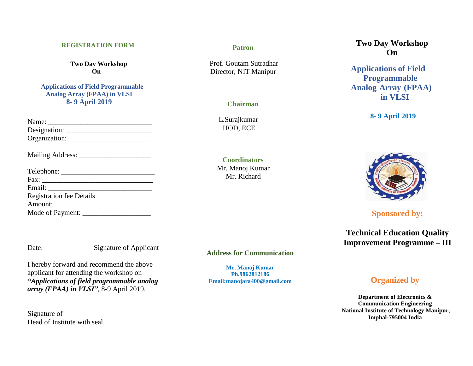### **REGISTRATION FORM**

**Two Day Workshop On**

**Applications of Field Programmable Analog Array (FPAA) in VLSI 8- 9 April 2019**

| Name:         |  |
|---------------|--|
| Designation:  |  |
| Organization: |  |

Mailing Address: \_\_\_\_\_\_\_\_\_\_\_\_\_\_\_\_\_\_\_\_

| <b>Registration fee Details</b> |  |
|---------------------------------|--|
|                                 |  |
|                                 |  |

Signature of Applicant

I hereby forward and recommend the above applicant for attending the workshop on *"Applications of field programmable analog array (FPAA) in VLSI"*, 8-9 April 2019.

Signature of Head of Institute with seal.

### **Patron**

Prof. Goutam Sutradhar Director, NIT Manipur

## **Chairman**

 L.Surajkumar HOD, ECE

**Coordinators** Mr. Manoj Kumar Mr. Richard

**Address for Communication**

**Mr. Manoj Kumar Ph.9862812186 Email:manojara400@gmail.com**

# **Two Day Workshop On**

**Applications of Field Programmable Analog Array (FPAA) in VLSI**

# **8- 9 April 2019**



**Sponsored by:**

**Technical Education Quality Improvement Programme – III**

# **Organized by**

**Department of Electronics & Communication Engineering National Institute of Technology Manipur, Imphal-795004 India**